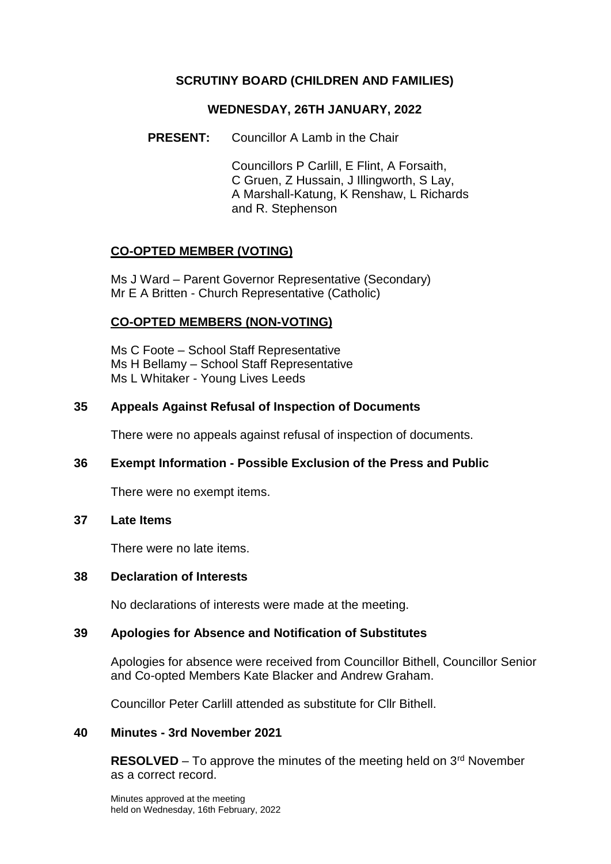# **SCRUTINY BOARD (CHILDREN AND FAMILIES)**

### **WEDNESDAY, 26TH JANUARY, 2022**

**PRESENT:** Councillor A Lamb in the Chair

Councillors P Carlill, E Flint, A Forsaith, C Gruen, Z Hussain, J Illingworth, S Lay, A Marshall-Katung, K Renshaw, L Richards and R. Stephenson

## **CO-OPTED MEMBER (VOTING)**

Ms J Ward – Parent Governor Representative (Secondary) Mr E A Britten - Church Representative (Catholic)

## **CO-OPTED MEMBERS (NON-VOTING)**

Ms C Foote – School Staff Representative Ms H Bellamy – School Staff Representative Ms L Whitaker - Young Lives Leeds

### **35 Appeals Against Refusal of Inspection of Documents**

There were no appeals against refusal of inspection of documents.

## **36 Exempt Information - Possible Exclusion of the Press and Public**

There were no exempt items.

### **37 Late Items**

There were no late items.

#### **38 Declaration of Interests**

No declarations of interests were made at the meeting.

### **39 Apologies for Absence and Notification of Substitutes**

Apologies for absence were received from Councillor Bithell, Councillor Senior and Co-opted Members Kate Blacker and Andrew Graham.

Councillor Peter Carlill attended as substitute for Cllr Bithell.

### **40 Minutes - 3rd November 2021**

**RESOLVED** – To approve the minutes of the meeting held on 3<sup>rd</sup> November as a correct record.

Minutes approved at the meeting held on Wednesday, 16th February, 2022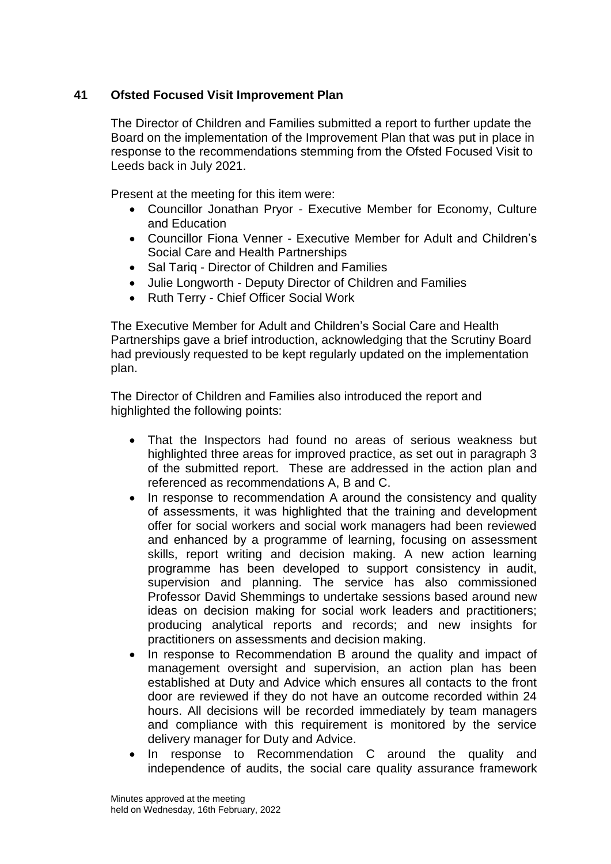# **41 Ofsted Focused Visit Improvement Plan**

The Director of Children and Families submitted a report to further update the Board on the implementation of the Improvement Plan that was put in place in response to the recommendations stemming from the Ofsted Focused Visit to Leeds back in July 2021.

Present at the meeting for this item were:

- Councillor Jonathan Pryor Executive Member for Economy, Culture and Education
- Councillor Fiona Venner Executive Member for Adult and Children's Social Care and Health Partnerships
- Sal Tarig Director of Children and Families
- Julie Longworth Deputy Director of Children and Families
- Ruth Terry Chief Officer Social Work

The Executive Member for Adult and Children's Social Care and Health Partnerships gave a brief introduction, acknowledging that the Scrutiny Board had previously requested to be kept regularly updated on the implementation plan.

The Director of Children and Families also introduced the report and highlighted the following points:

- That the Inspectors had found no areas of serious weakness but highlighted three areas for improved practice, as set out in paragraph 3 of the submitted report. These are addressed in the action plan and referenced as recommendations A, B and C.
- In response to recommendation A around the consistency and quality of assessments, it was highlighted that the training and development offer for social workers and social work managers had been reviewed and enhanced by a programme of learning, focusing on assessment skills, report writing and decision making. A new action learning programme has been developed to support consistency in audit, supervision and planning. The service has also commissioned Professor David Shemmings to undertake sessions based around new ideas on decision making for social work leaders and practitioners; producing analytical reports and records; and new insights for practitioners on assessments and decision making.
- In response to Recommendation B around the quality and impact of management oversight and supervision, an action plan has been established at Duty and Advice which ensures all contacts to the front door are reviewed if they do not have an outcome recorded within 24 hours. All decisions will be recorded immediately by team managers and compliance with this requirement is monitored by the service delivery manager for Duty and Advice.
- In response to Recommendation C around the quality and independence of audits, the social care quality assurance framework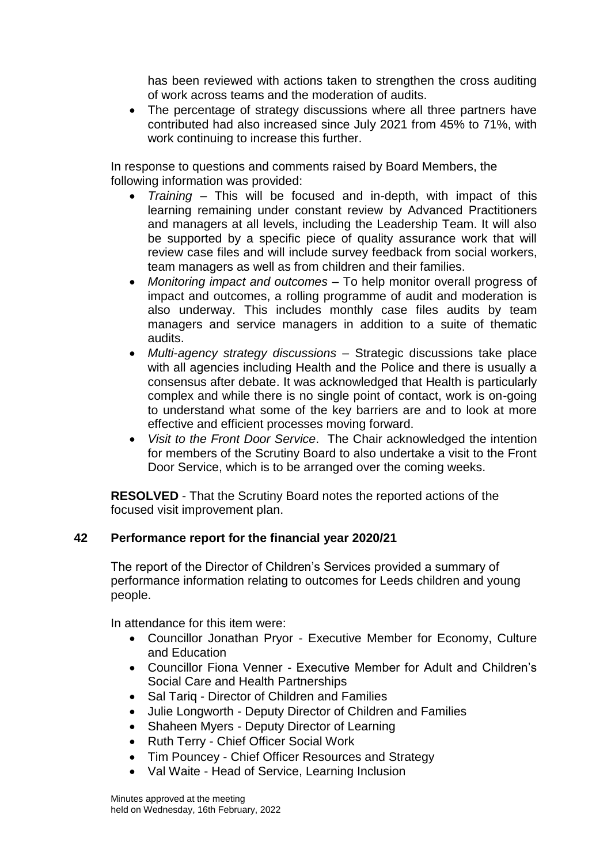has been reviewed with actions taken to strengthen the cross auditing of work across teams and the moderation of audits.

• The percentage of strategy discussions where all three partners have contributed had also increased since July 2021 from 45% to 71%, with work continuing to increase this further.

In response to questions and comments raised by Board Members, the following information was provided:

- *Training* This will be focused and in-depth, with impact of this learning remaining under constant review by Advanced Practitioners and managers at all levels, including the Leadership Team. It will also be supported by a specific piece of quality assurance work that will review case files and will include survey feedback from social workers, team managers as well as from children and their families.
- *Monitoring impact and outcomes*  To help monitor overall progress of impact and outcomes, a rolling programme of audit and moderation is also underway. This includes monthly case files audits by team managers and service managers in addition to a suite of thematic audits.
- *Multi*-*agency strategy discussions –* Strategic discussions take place with all agencies including Health and the Police and there is usually a consensus after debate. It was acknowledged that Health is particularly complex and while there is no single point of contact, work is on-going to understand what some of the key barriers are and to look at more effective and efficient processes moving forward.
- *Visit to the Front Door Service*. The Chair acknowledged the intention for members of the Scrutiny Board to also undertake a visit to the Front Door Service, which is to be arranged over the coming weeks.

**RESOLVED** - That the Scrutiny Board notes the reported actions of the focused visit improvement plan.

## **42 Performance report for the financial year 2020/21**

The report of the Director of Children's Services provided a summary of performance information relating to outcomes for Leeds children and young people.

In attendance for this item were:

- Councillor Jonathan Pryor Executive Member for Economy, Culture and Education
- Councillor Fiona Venner Executive Member for Adult and Children's Social Care and Health Partnerships
- Sal Tariq Director of Children and Families
- Julie Longworth Deputy Director of Children and Families
- Shaheen Myers Deputy Director of Learning
- Ruth Terry Chief Officer Social Work
- Tim Pouncey Chief Officer Resources and Strategy
- Val Waite Head of Service, Learning Inclusion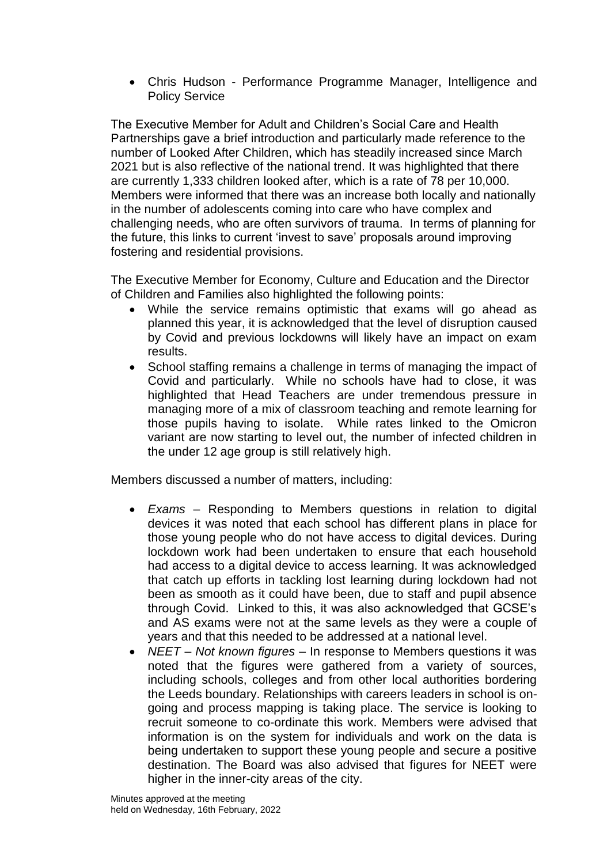Chris Hudson - Performance Programme Manager, Intelligence and Policy Service

The Executive Member for Adult and Children's Social Care and Health Partnerships gave a brief introduction and particularly made reference to the number of Looked After Children, which has steadily increased since March 2021 but is also reflective of the national trend. It was highlighted that there are currently 1,333 children looked after, which is a rate of 78 per 10,000. Members were informed that there was an increase both locally and nationally in the number of adolescents coming into care who have complex and challenging needs, who are often survivors of trauma. In terms of planning for the future, this links to current 'invest to save' proposals around improving fostering and residential provisions.

The Executive Member for Economy, Culture and Education and the Director of Children and Families also highlighted the following points:

- While the service remains optimistic that exams will go ahead as planned this year, it is acknowledged that the level of disruption caused by Covid and previous lockdowns will likely have an impact on exam results.
- School staffing remains a challenge in terms of managing the impact of Covid and particularly. While no schools have had to close, it was highlighted that Head Teachers are under tremendous pressure in managing more of a mix of classroom teaching and remote learning for those pupils having to isolate. While rates linked to the Omicron variant are now starting to level out, the number of infected children in the under 12 age group is still relatively high.

Members discussed a number of matters, including:

- *Exams* Responding to Members questions in relation to digital devices it was noted that each school has different plans in place for those young people who do not have access to digital devices. During lockdown work had been undertaken to ensure that each household had access to a digital device to access learning. It was acknowledged that catch up efforts in tackling lost learning during lockdown had not been as smooth as it could have been, due to staff and pupil absence through Covid. Linked to this, it was also acknowledged that GCSE's and AS exams were not at the same levels as they were a couple of years and that this needed to be addressed at a national level.
- *NEET – Not known figures –* In response to Members questions it was noted that the figures were gathered from a variety of sources, including schools, colleges and from other local authorities bordering the Leeds boundary. Relationships with careers leaders in school is ongoing and process mapping is taking place. The service is looking to recruit someone to co-ordinate this work. Members were advised that information is on the system for individuals and work on the data is being undertaken to support these young people and secure a positive destination. The Board was also advised that figures for NEET were higher in the inner-city areas of the city.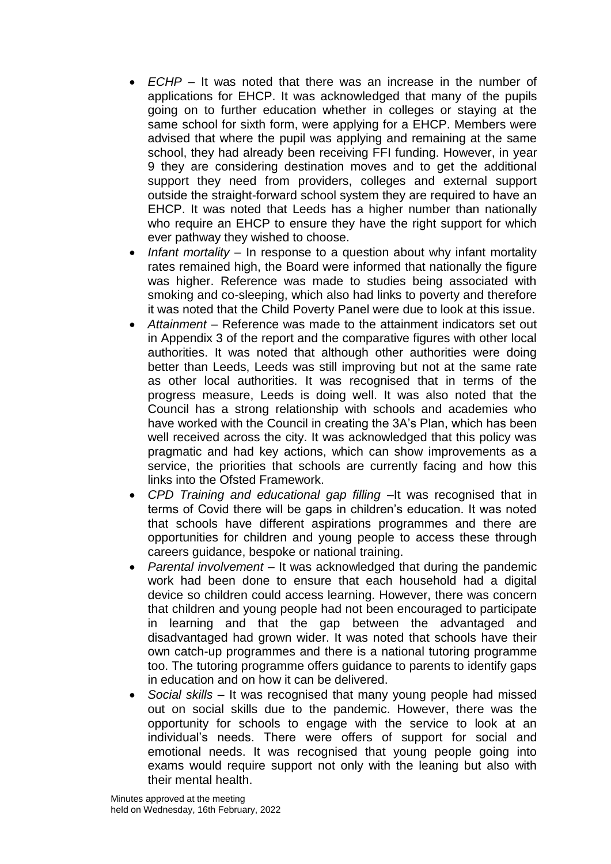- *ECHP* It was noted that there was an increase in the number of applications for EHCP. It was acknowledged that many of the pupils going on to further education whether in colleges or staying at the same school for sixth form, were applying for a EHCP. Members were advised that where the pupil was applying and remaining at the same school, they had already been receiving FFI funding. However, in year 9 they are considering destination moves and to get the additional support they need from providers, colleges and external support outside the straight-forward school system they are required to have an EHCP. It was noted that Leeds has a higher number than nationally who require an EHCP to ensure they have the right support for which ever pathway they wished to choose.
- *Infant mortality –* In response to a question about why infant mortality rates remained high, the Board were informed that nationally the figure was higher. Reference was made to studies being associated with smoking and co-sleeping, which also had links to poverty and therefore it was noted that the Child Poverty Panel were due to look at this issue.
- *Attainment –* Reference was made to the attainment indicators set out in Appendix 3 of the report and the comparative figures with other local authorities. It was noted that although other authorities were doing better than Leeds, Leeds was still improving but not at the same rate as other local authorities. It was recognised that in terms of the progress measure, Leeds is doing well. It was also noted that the Council has a strong relationship with schools and academies who have worked with the Council in creating the 3A's Plan, which has been well received across the city. It was acknowledged that this policy was pragmatic and had key actions, which can show improvements as a service, the priorities that schools are currently facing and how this links into the Ofsted Framework.
- *CPD Training and educational gap filling –*It was recognised that in terms of Covid there will be gaps in children's education. It was noted that schools have different aspirations programmes and there are opportunities for children and young people to access these through careers guidance, bespoke or national training.
- *Parental involvement –* It was acknowledged that during the pandemic work had been done to ensure that each household had a digital device so children could access learning. However, there was concern that children and young people had not been encouraged to participate in learning and that the gap between the advantaged and disadvantaged had grown wider. It was noted that schools have their own catch-up programmes and there is a national tutoring programme too. The tutoring programme offers guidance to parents to identify gaps in education and on how it can be delivered.
- *Social skills –* It was recognised that many young people had missed out on social skills due to the pandemic. However, there was the opportunity for schools to engage with the service to look at an individual's needs. There were offers of support for social and emotional needs. It was recognised that young people going into exams would require support not only with the leaning but also with their mental health.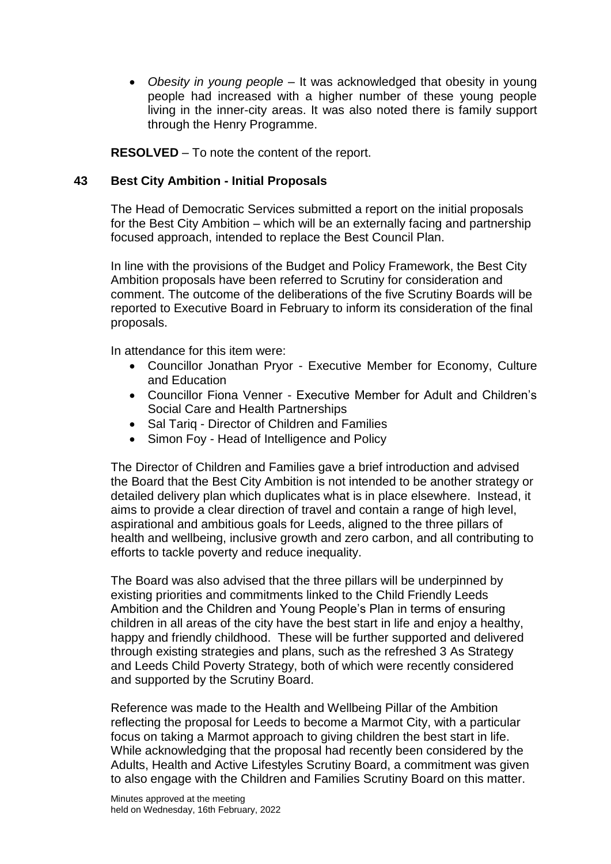*Obesity in young people –* It was acknowledged that obesity in young people had increased with a higher number of these young people living in the inner-city areas. It was also noted there is family support through the Henry Programme.

**RESOLVED** – To note the content of the report.

# **43 Best City Ambition - Initial Proposals**

The Head of Democratic Services submitted a report on the initial proposals for the Best City Ambition – which will be an externally facing and partnership focused approach, intended to replace the Best Council Plan.

In line with the provisions of the Budget and Policy Framework, the Best City Ambition proposals have been referred to Scrutiny for consideration and comment. The outcome of the deliberations of the five Scrutiny Boards will be reported to Executive Board in February to inform its consideration of the final proposals.

In attendance for this item were:

- Councillor Jonathan Pryor Executive Member for Economy, Culture and Education
- Councillor Fiona Venner Executive Member for Adult and Children's Social Care and Health Partnerships
- Sal Tarig Director of Children and Families
- Simon Foy Head of Intelligence and Policy

The Director of Children and Families gave a brief introduction and advised the Board that the Best City Ambition is not intended to be another strategy or detailed delivery plan which duplicates what is in place elsewhere. Instead, it aims to provide a clear direction of travel and contain a range of high level, aspirational and ambitious goals for Leeds, aligned to the three pillars of health and wellbeing, inclusive growth and zero carbon, and all contributing to efforts to tackle poverty and reduce inequality.

The Board was also advised that the three pillars will be underpinned by existing priorities and commitments linked to the Child Friendly Leeds Ambition and the Children and Young People's Plan in terms of ensuring children in all areas of the city have the best start in life and enjoy a healthy, happy and friendly childhood. These will be further supported and delivered through existing strategies and plans, such as the refreshed 3 As Strategy and Leeds Child Poverty Strategy, both of which were recently considered and supported by the Scrutiny Board.

Reference was made to the Health and Wellbeing Pillar of the Ambition reflecting the proposal for Leeds to become a Marmot City, with a particular focus on taking a Marmot approach to giving children the best start in life. While acknowledging that the proposal had recently been considered by the Adults, Health and Active Lifestyles Scrutiny Board, a commitment was given to also engage with the Children and Families Scrutiny Board on this matter.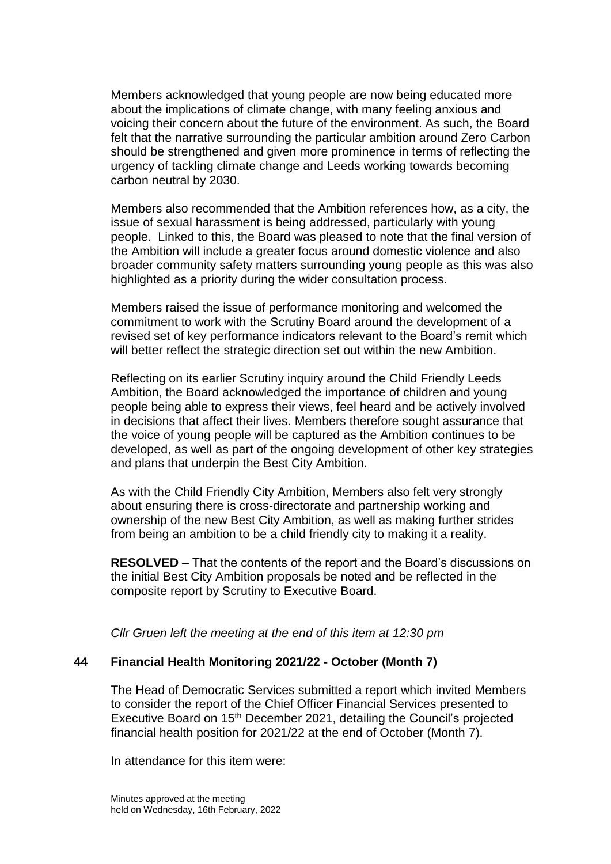Members acknowledged that young people are now being educated more about the implications of climate change, with many feeling anxious and voicing their concern about the future of the environment. As such, the Board felt that the narrative surrounding the particular ambition around Zero Carbon should be strengthened and given more prominence in terms of reflecting the urgency of tackling climate change and Leeds working towards becoming carbon neutral by 2030.

Members also recommended that the Ambition references how, as a city, the issue of sexual harassment is being addressed, particularly with young people. Linked to this, the Board was pleased to note that the final version of the Ambition will include a greater focus around domestic violence and also broader community safety matters surrounding young people as this was also highlighted as a priority during the wider consultation process.

Members raised the issue of performance monitoring and welcomed the commitment to work with the Scrutiny Board around the development of a revised set of key performance indicators relevant to the Board's remit which will better reflect the strategic direction set out within the new Ambition.

Reflecting on its earlier Scrutiny inquiry around the Child Friendly Leeds Ambition, the Board acknowledged the importance of children and young people being able to express their views, feel heard and be actively involved in decisions that affect their lives. Members therefore sought assurance that the voice of young people will be captured as the Ambition continues to be developed, as well as part of the ongoing development of other key strategies and plans that underpin the Best City Ambition.

As with the Child Friendly City Ambition, Members also felt very strongly about ensuring there is cross-directorate and partnership working and ownership of the new Best City Ambition, as well as making further strides from being an ambition to be a child friendly city to making it a reality.

**RESOLVED** – That the contents of the report and the Board's discussions on the initial Best City Ambition proposals be noted and be reflected in the composite report by Scrutiny to Executive Board.

*Cllr Gruen left the meeting at the end of this item at 12:30 pm*

## **44 Financial Health Monitoring 2021/22 - October (Month 7)**

The Head of Democratic Services submitted a report which invited Members to consider the report of the Chief Officer Financial Services presented to Executive Board on 15<sup>th</sup> December 2021, detailing the Council's projected financial health position for 2021/22 at the end of October (Month 7).

In attendance for this item were: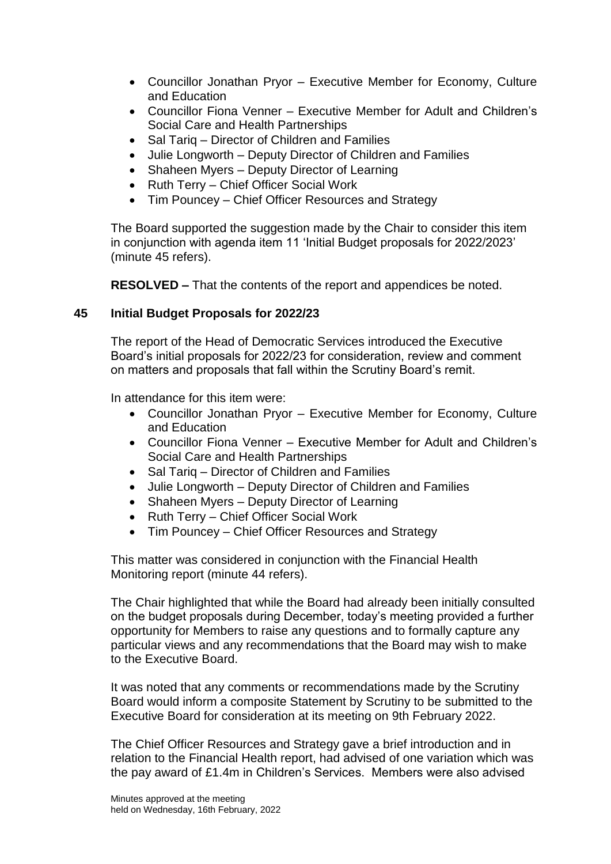- Councillor Jonathan Pryor Executive Member for Economy, Culture and Education
- Councillor Fiona Venner Executive Member for Adult and Children's Social Care and Health Partnerships
- Sal Tariq Director of Children and Families
- Julie Longworth Deputy Director of Children and Families
- Shaheen Myers Deputy Director of Learning
- Ruth Terry Chief Officer Social Work
- Tim Pouncey Chief Officer Resources and Strategy

The Board supported the suggestion made by the Chair to consider this item in conjunction with agenda item 11 'Initial Budget proposals for 2022/2023' (minute 45 refers).

**RESOLVED –** That the contents of the report and appendices be noted.

# **45 Initial Budget Proposals for 2022/23**

The report of the Head of Democratic Services introduced the Executive Board's initial proposals for 2022/23 for consideration, review and comment on matters and proposals that fall within the Scrutiny Board's remit.

In attendance for this item were:

- Councillor Jonathan Pryor Executive Member for Economy, Culture and Education
- Councillor Fiona Venner Executive Member for Adult and Children's Social Care and Health Partnerships
- Sal Tariq Director of Children and Families
- Julie Longworth Deputy Director of Children and Families
- Shaheen Myers Deputy Director of Learning
- Ruth Terry Chief Officer Social Work
- Tim Pouncey Chief Officer Resources and Strategy

This matter was considered in conjunction with the Financial Health Monitoring report (minute 44 refers).

The Chair highlighted that while the Board had already been initially consulted on the budget proposals during December, today's meeting provided a further opportunity for Members to raise any questions and to formally capture any particular views and any recommendations that the Board may wish to make to the Executive Board.

It was noted that any comments or recommendations made by the Scrutiny Board would inform a composite Statement by Scrutiny to be submitted to the Executive Board for consideration at its meeting on 9th February 2022.

The Chief Officer Resources and Strategy gave a brief introduction and in relation to the Financial Health report, had advised of one variation which was the pay award of £1.4m in Children's Services. Members were also advised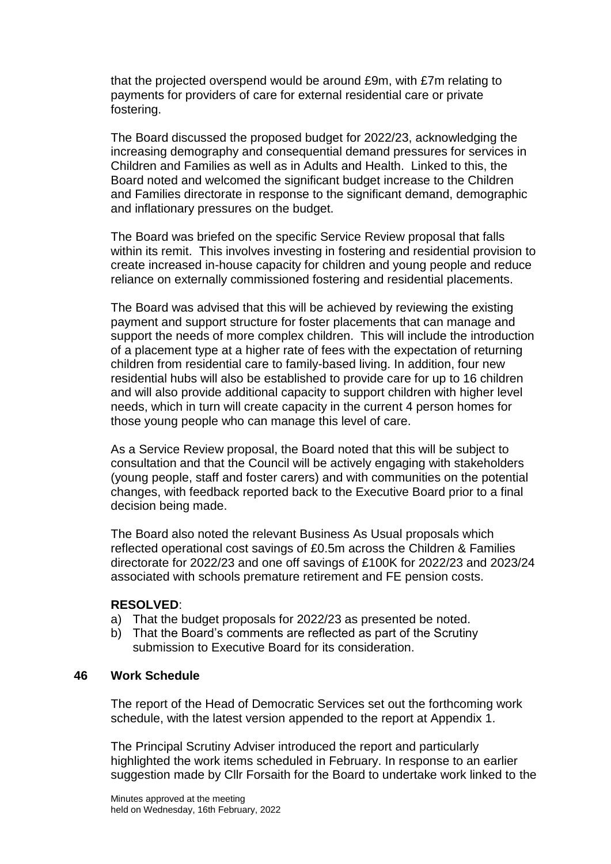that the projected overspend would be around £9m, with £7m relating to payments for providers of care for external residential care or private fostering.

The Board discussed the proposed budget for 2022/23, acknowledging the increasing demography and consequential demand pressures for services in Children and Families as well as in Adults and Health. Linked to this, the Board noted and welcomed the significant budget increase to the Children and Families directorate in response to the significant demand, demographic and inflationary pressures on the budget.

The Board was briefed on the specific Service Review proposal that falls within its remit. This involves investing in fostering and residential provision to create increased in-house capacity for children and young people and reduce reliance on externally commissioned fostering and residential placements.

The Board was advised that this will be achieved by reviewing the existing payment and support structure for foster placements that can manage and support the needs of more complex children. This will include the introduction of a placement type at a higher rate of fees with the expectation of returning children from residential care to family-based living. In addition, four new residential hubs will also be established to provide care for up to 16 children and will also provide additional capacity to support children with higher level needs, which in turn will create capacity in the current 4 person homes for those young people who can manage this level of care.

As a Service Review proposal, the Board noted that this will be subject to consultation and that the Council will be actively engaging with stakeholders (young people, staff and foster carers) and with communities on the potential changes, with feedback reported back to the Executive Board prior to a final decision being made.

The Board also noted the relevant Business As Usual proposals which reflected operational cost savings of £0.5m across the Children & Families directorate for 2022/23 and one off savings of £100K for 2022/23 and 2023/24 associated with schools premature retirement and FE pension costs.

#### **RESOLVED**:

- a) That the budget proposals for 2022/23 as presented be noted.
- b) That the Board's comments are reflected as part of the Scrutiny submission to Executive Board for its consideration.

#### **46 Work Schedule**

The report of the Head of Democratic Services set out the forthcoming work schedule, with the latest version appended to the report at Appendix 1.

The Principal Scrutiny Adviser introduced the report and particularly highlighted the work items scheduled in February. In response to an earlier suggestion made by Cllr Forsaith for the Board to undertake work linked to the